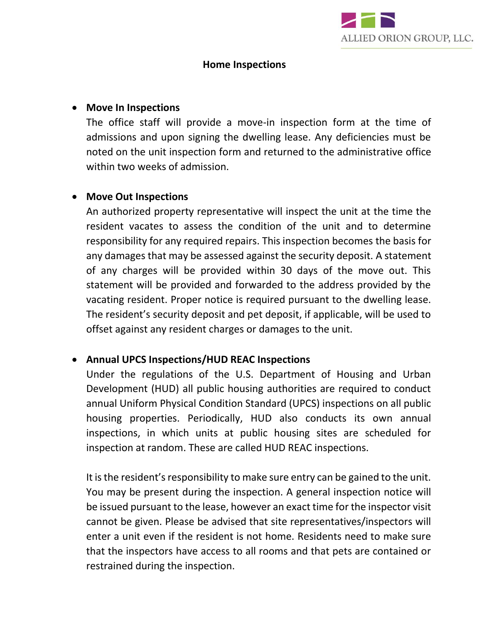

#### **Home Inspections**

### • **Move In Inspections**

The office staff will provide a move-in inspection form at the time of admissions and upon signing the dwelling lease. Any deficiencies must be noted on the unit inspection form and returned to the administrative office within two weeks of admission.

## • **Move Out Inspections**

An authorized property representative will inspect the unit at the time the resident vacates to assess the condition of the unit and to determine responsibility for any required repairs. This inspection becomes the basis for any damages that may be assessed against the security deposit. A statement of any charges will be provided within 30 days of the move out. This statement will be provided and forwarded to the address provided by the vacating resident. Proper notice is required pursuant to the dwelling lease. The resident's security deposit and pet deposit, if applicable, will be used to offset against any resident charges or damages to the unit.

## • **Annual UPCS Inspections/HUD REAC Inspections**

Under the regulations of the U.S. Department of Housing and Urban Development (HUD) all public housing authorities are required to conduct annual Uniform Physical Condition Standard (UPCS) inspections on all public housing properties. Periodically, HUD also conducts its own annual inspections, in which units at public housing sites are scheduled for inspection at random. These are called HUD REAC inspections.

It is the resident's responsibility to make sure entry can be gained to the unit. You may be present during the inspection. A general inspection notice will be issued pursuant to the lease, however an exact time for the inspector visit cannot be given. Please be advised that site representatives/inspectors will enter a unit even if the resident is not home. Residents need to make sure that the inspectors have access to all rooms and that pets are contained or restrained during the inspection.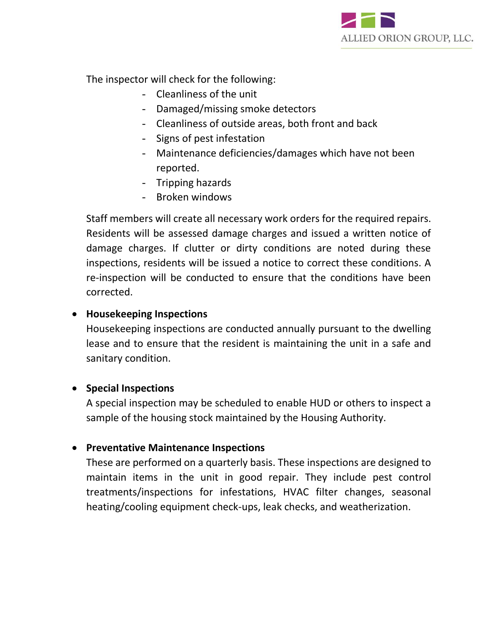

The inspector will check for the following:

- Cleanliness of the unit
- Damaged/missing smoke detectors
- Cleanliness of outside areas, both front and back
- Signs of pest infestation
- Maintenance deficiencies/damages which have not been reported.
- Tripping hazards
- Broken windows

Staff members will create all necessary work orders for the required repairs. Residents will be assessed damage charges and issued a written notice of damage charges. If clutter or dirty conditions are noted during these inspections, residents will be issued a notice to correct these conditions. A re-inspection will be conducted to ensure that the conditions have been corrected.

## • **Housekeeping Inspections**

Housekeeping inspections are conducted annually pursuant to the dwelling lease and to ensure that the resident is maintaining the unit in a safe and sanitary condition.

## • **Special Inspections**

A special inspection may be scheduled to enable HUD or others to inspect a sample of the housing stock maintained by the Housing Authority.

## • **Preventative Maintenance Inspections**

These are performed on a quarterly basis. These inspections are designed to maintain items in the unit in good repair. They include pest control treatments/inspections for infestations, HVAC filter changes, seasonal heating/cooling equipment check-ups, leak checks, and weatherization.